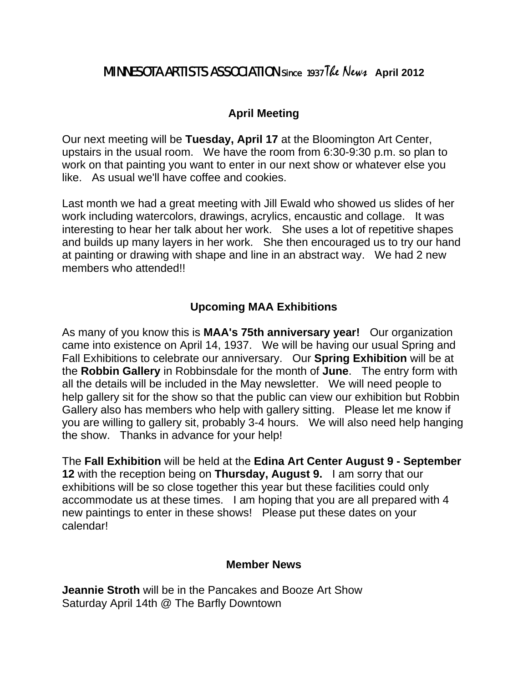## **MINNESOTA ARTISTS ASSOCIATION** since 1937 The News April 2012

## **April Meeting**

Our next meeting will be **Tuesday, April 17** at the Bloomington Art Center, upstairs in the usual room. We have the room from 6:30-9:30 p.m. so plan to work on that painting you want to enter in our next show or whatever else you like. As usual we'll have coffee and cookies.

Last month we had a great meeting with Jill Ewald who showed us slides of her work including watercolors, drawings, acrylics, encaustic and collage. It was interesting to hear her talk about her work. She uses a lot of repetitive shapes and builds up many layers in her work. She then encouraged us to try our hand at painting or drawing with shape and line in an abstract way. We had 2 new members who attended!!

## **Upcoming MAA Exhibitions**

As many of you know this is **MAA's 75th anniversary year!** Our organization came into existence on April 14, 1937. We will be having our usual Spring and Fall Exhibitions to celebrate our anniversary. Our **Spring Exhibition** will be at the **Robbin Gallery** in Robbinsdale for the month of **June**. The entry form with all the details will be included in the May newsletter. We will need people to help gallery sit for the show so that the public can view our exhibition but Robbin Gallery also has members who help with gallery sitting. Please let me know if you are willing to gallery sit, probably 3-4 hours. We will also need help hanging the show. Thanks in advance for your help!

calendar! The **Fall Exhibition** will be held at the **Edina Art Center August 9 - September 12** with the reception being on **Thursday, August 9.** I am sorry that our exhibitions will be so close together this year but these facilities could only accommodate us at these times. I am hoping that you are all prepared with 4 new paintings to enter in these shows! Please put these dates on your

## **Member News**

Jeannie Stroth will be in the Pancakes and Booze Art Show Saturday April 14th @ The Barfly Downtown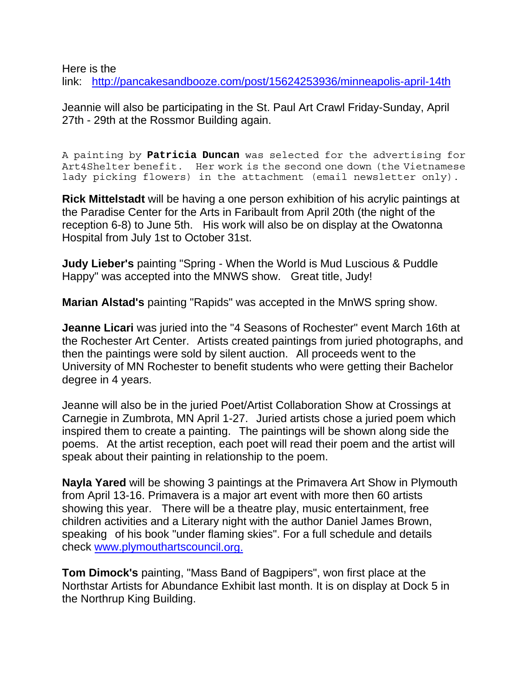Here is the

link: http://pancakesandbooze.com/post/15624253936/minneapolis-april-14th

Jeannie will also be participating in the St. Paul Art Crawl Friday-Sunday, April 27th - 29th at the Rossmor Building again.

A painting by Patricia Duncan was selected for the advertising for Art4Shelter benefit. Her work is the second one down (the Vietnamese lady picking flowers) in the attachment (email newsletter only).

**Rick Mittelstadt** will be having a one person exhibition of his acrylic paintings at the Paradise Center for the Arts in Faribault from April 20th (the night of the reception 6-8) to June 5th. His work will also be on display at the Owatonna Hospital from July 1st to October 31st.

**Judy Lieber's** painting "Spring - When the World is Mud Luscious & Puddle Happy" was accepted into the MNWS show. Great title, Judy!

**Marian Alstad's** painting "Rapids" was accepted in the MnWS spring show.

**Jeanne Licari** was juried into the "4 Seasons of Rochester" event March 16th at the Rochester Art Center. Artists created paintings from juried photographs, and then the paintings were sold by silent auction. All proceeds went to the University of MN Rochester to benefit students who were getting their Bachelor degree in 4 years.

Jeanne will also be in the juried Poet/Artist Collaboration Show at Crossings at Carnegie in Zumbrota, MN April 1-27. Juried artists chose a juried poem which inspired them to create a painting. The paintings will be shown along side the poems. At the artist reception, each poet will read their poem and the artist will speak about their painting in relationship to the poem.

check [www.plymouthartscounci](http://www.plymouthartscouncil.org/)l.org. **Nayla Yared** will be showing 3 paintings at the Primavera Art Show in Plymouth from April 13-16. Primavera is a major art event with more then 60 artists showing this year. There will be a theatre play, music entertainment, free children activities and a Literary night with the author Daniel James Brown, speaking of his book "under flaming skies". For a full schedule and details

**Tom Dimock's** painting, "Mass Band of Bagpipers", won first place at the Northstar Artists for Abundance Exhibit last month. It is on display at Dock 5 in the Northrup King Building.